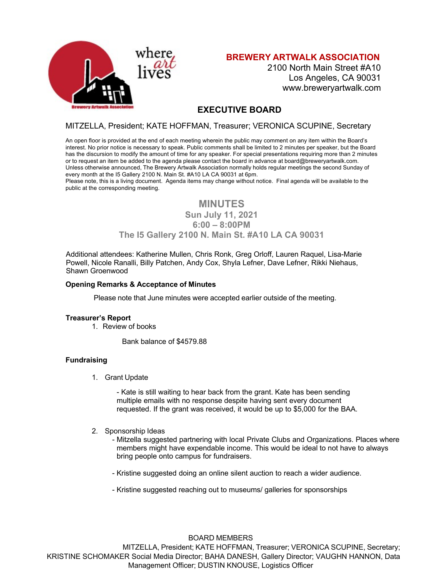

**BREWERY ARTWALK ASSOCIATION**

2100 North Main Street #A10 Los Angeles, CA 90031 www.breweryartwalk.com

# **EXECUTIVE BOARD**

# MITZELLA, President; KATE HOFFMAN, Treasurer; VERONICA SCUPINE, Secretary

An open floor is provided at the end of each meeting wherein the public may comment on any item within the Board's interest. No prior notice is necessary to speak. Public comments shall be limited to 2 minutes per speaker, but the Board has the discursion to modify the amount of time for any speaker. For special presentations requiring more than 2 minutes or to request an item be added to the agenda please contact the board in advance at board@breweryartwalk.com. Unless otherwise announced, The Brewery Artwalk Association normally holds regular meetings the second Sunday of every month at the I5 Gallery 2100 N. Main St. #A10 LA CA 90031 at 6pm.

Please note, this is a living document. Agenda items may change without notice. Final agenda will be available to the public at the corresponding meeting.

# **MINUTES**

**Sun July 11, 2021 6:00 – 8:00PM**

# **The I5 Gallery 2100 N. Main St. #A10 LA CA 90031**

Additional attendees: Katherine Mullen, Chris Ronk, Greg Orloff, Lauren Raquel, Lisa-Marie Powell, Nicole Ranalli, Billy Patchen, Andy Cox, Shyla Lefner, Dave Lefner, Rikki Niehaus, Shawn Groenwood

## **Opening Remarks & Acceptance of Minutes**

Please note that June minutes were accepted earlier outside of the meeting.

#### **Treasurer's Report**

1. Review of books

Bank balance of \$4579.88

## **Fundraising**

1. Grant Update

- Kate is still waiting to hear back from the grant. Kate has been sending multiple emails with no response despite having sent every document requested. If the grant was received, it would be up to \$5,000 for the BAA.

2. Sponsorship Ideas

- Mitzella suggested partnering with local Private Clubs and Organizations. Places where members might have expendable income. This would be ideal to not have to always bring people onto campus for fundraisers.

- Kristine suggested doing an online silent auction to reach a wider audience.
- Kristine suggested reaching out to museums/ galleries for sponsorships

BOARD MEMBERS MITZELLA, President; KATE HOFFMAN, Treasurer; VERONICA SCUPINE, Secretary; KRISTINE SCHOMAKER Social Media Director; BAHA DANESH, Gallery Director; VAUGHN HANNON, Data Management Officer; DUSTIN KNOUSE, Logistics Officer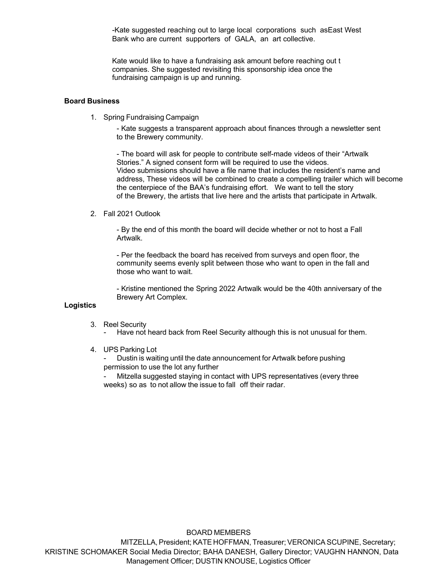-Kate suggested reaching out to large local corporations such asEast West Bank who are current supporters of GALA, an art collective.

Kate would like to have a fundraising ask amount before reaching out t companies. She suggested revisiting this sponsorship idea once the fundraising campaign is up and running.

### **Board Business**

1. Spring Fundraising Campaign

- Kate suggests a transparent approach about finances through a newsletter sent to the Brewery community.

- The board will ask for people to contribute self-made videos of their "Artwalk Stories." A signed consent form will be required to use the videos. Video submissions should have a file name that includes the resident's name and address, These videos will be combined to create a compelling trailer which will become the centerpiece of the BAA's fundraising effort. We want to tell the story of the Brewery, the artists that live here and the artists that participate in Artwalk.

#### 2. Fall 2021 Outlook

- By the end of this month the board will decide whether or not to host a Fall Artwalk.

- Per the feedback the board has received from surveys and open floor, the community seems evenly split between those who want to open in the fall and those who want to wait.

- Kristine mentioned the Spring 2022 Artwalk would be the 40th anniversary of the Brewery Art Complex.

# **Logistics**

3. Reel Security

- Have not heard back from Reel Security although this is not unusual for them.

#### 4. UPS Parking Lot

- Dustin is waiting until the date announcement for Artwalk before pushing permission to use the lot any further

Mitzella suggested staying in contact with UPS representatives (every three weeks) so as to not allow the issue to fall off their radar.

BOARD MEMBERS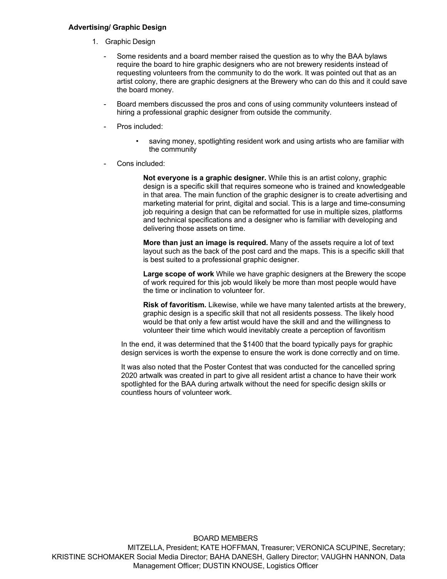#### **Advertising/ Graphic Design**

- 1. Graphic Design
	- Some residents and a board member raised the question as to why the BAA bylaws require the board to hire graphic designers who are not brewery residents instead of requesting volunteers from the community to do the work. It was pointed out that as an artist colony, there are graphic designers at the Brewery who can do this and it could save the board money.
	- Board members discussed the pros and cons of using community volunteers instead of hiring a professional graphic designer from outside the community.
	- Pros included:
		- saving money, spotlighting resident work and using artists who are familiar with the community
	- Cons included:

**Not everyone is a graphic designer.** While this is an artist colony, graphic design is a specific skill that requires someone who is trained and knowledgeable in that area. The main function of the graphic designer is to create advertising and marketing material for print, digital and social. This is a large and time-consuming job requiring a design that can be reformatted for use in multiple sizes, platforms and technical specifications and a designer who is familiar with developing and delivering those assets on time.

**More than just an image is required.** Many of the assets require a lot of text layout such as the back of the post card and the maps. This is a specific skill that is best suited to a professional graphic designer.

**Large scope of work** While we have graphic designers at the Brewery the scope of work required for this job would likely be more than most people would have the time or inclination to volunteer for.

**Risk of favoritism.** Likewise, while we have many talented artists at the brewery, graphic design is a specific skill that not all residents possess. The likely hood would be that only a few artist would have the skill and and the willingness to volunteer their time which would inevitably create a perception of favoritism

In the end, it was determined that the \$1400 that the board typically pays for graphic design services is worth the expense to ensure the work is done correctly and on time.

It was also noted that the Poster Contest that was conducted for the cancelled spring 2020 artwalk was created in part to give all resident artist a chance to have their work spotlighted for the BAA during artwalk without the need for specific design skills or countless hours of volunteer work.

BOARD MEMBERS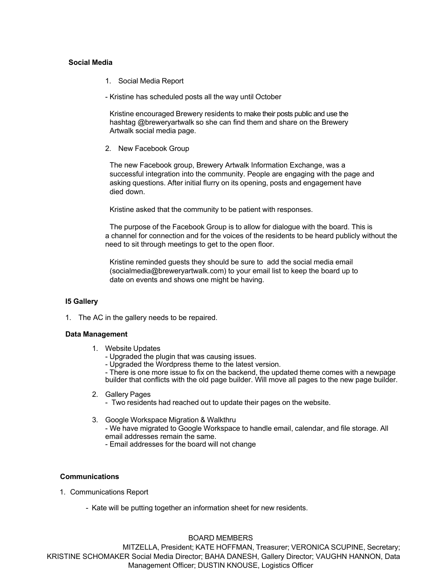### **Social Media**

- 1. Social Media Report
- Kristine has scheduled posts all the way until October

Kristine encouraged Brewery residents to make their posts public and use the hashtag @breweryartwalk so she can find them and share on the Brewery Artwalk social media page.

2. New Facebook Group

The new Facebook group, Brewery Artwalk Information Exchange, was a successful integration into the community. People are engaging with the page and asking questions. After initial flurry on its opening, posts and engagement have died down.

Kristine asked that the community to be patient with responses.

The purpose of the Facebook Group is to allow for dialogue with the board. This is a channel for connection and for the voices of the residents to be heard publicly without the need to sit through meetings to get to the open floor.

Kristine reminded guests they should be sure to add the social media email (socialmedia@breweryartwalk.com) to your email list to keep the board up to date on events and shows one might be having.

#### **I5 Gallery**

1. The AC in the gallery needs to be repaired.

#### **Data Management**

- 1. Website Updates
	- Upgraded the plugin that was causing issues.
	- Upgraded the Wordpress theme to the latest version.

- There is one more issue to fix on the backend, the updated theme comes with a newpage builder that conflicts with the old page builder. Will move all pages to the new page builder.

2. Gallery Pages

- Two residents had reached out to update their pages on the website.

3. Google Workspace Migration & Walkthru

- We have migrated to Google Workspace to handle email, calendar, and file storage. All email addresses remain the same.

- Email addresses for the board will not change

#### **Communications**

- 1. Communications Report
	- Kate will be putting together an information sheet for new residents.

BOARD MEMBERS MITZELLA, President; KATE HOFFMAN, Treasurer; VERONICA SCUPINE, Secretary; KRISTINE SCHOMAKER Social Media Director; BAHA DANESH, Gallery Director; VAUGHN HANNON, Data Management Officer; DUSTIN KNOUSE, Logistics Officer